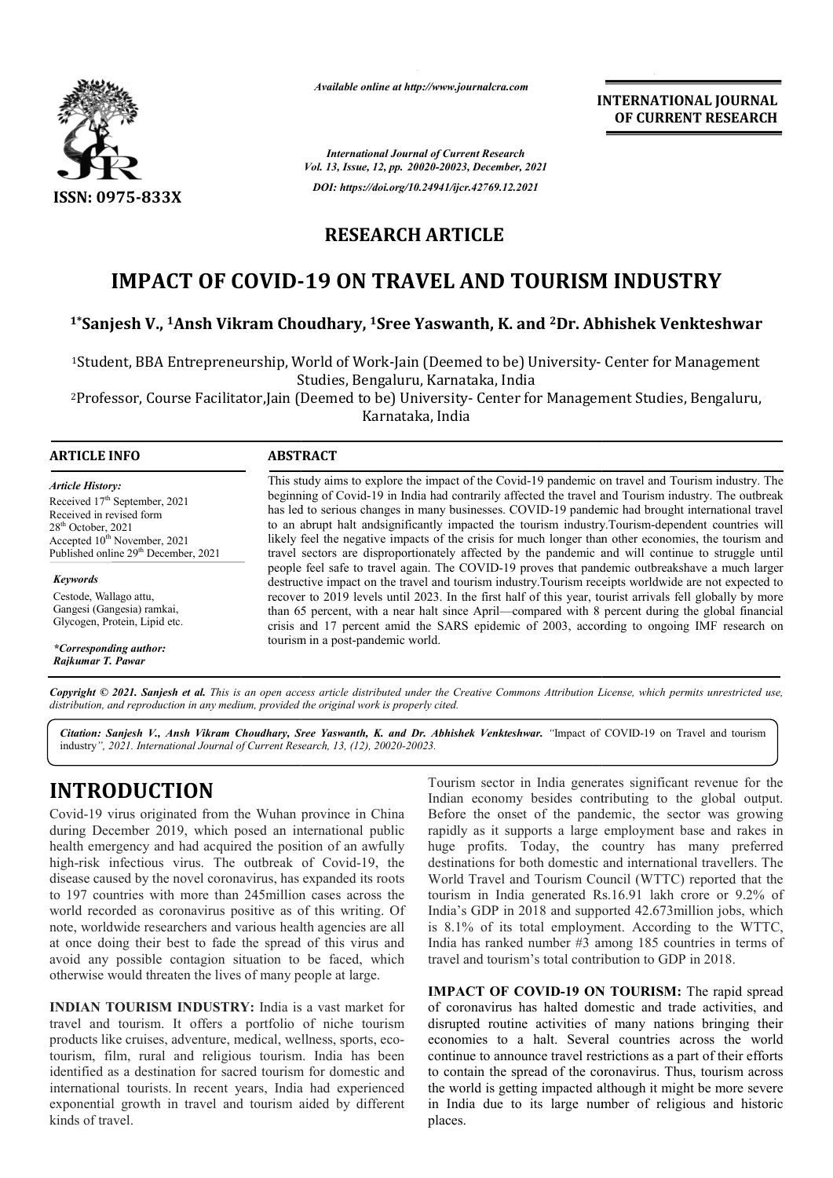

*Available online at http://www.journalcra.com*

*International Journal of Current Research Vol. 13, Issue, 12, pp. 20020-20023, December, 2021 DOI: https://doi.org/10.24941/ijcr.42769.12.2021*

**RESEARCH ARTICLE** 

# **IMPACT OF COVID--19 ON TRAVEL AND TOURISM INDUSTRY 1.4 IMPACT OF COVID-19 ON TRAVEL AND TOURISM INDUSTRY<br>I\*Sanjesh V., <sup>1</sup>Ansh Vikram Choudhary, <sup>1</sup>Sree Yaswanth, K. and <sup>2</sup>Dr. Abhishek Venkteshwar**

<sup>1</sup>Student, BBA Entrepreneurship, World of Work-Jain (Deemed to be) University- Center for Management Studies, Bengaluru, Karnataka, India

<sup>2</sup>Professor, Course Facilitator,Jain (Deemed to be) University- Center for Management Studies, Bengaluru, Karnataka, India

### **ARTICLE INFO ABSTRACT**

*Article History:* Received 17<sup>th</sup> September, 2021 Received in revised form Received in revised form  $28<sup>th</sup>$  October, 2021 Accepted 10<sup>th</sup> November, 2021 Published online 29<sup>th</sup> December, 2021

*Keywords* Cestode, Wallago attu, Gangesi (Gangesia) ramkai, Glycogen, Protein, Lipid etc.

*\*Corresponding author: Rajkumar T. Pawar*

This study aims to explore the impact of the Covid-19 pandemic on travel and Tourism industry. The beginning of Covid Covid-19 in India had contrarily affected the travel and Tourism industry. The outbreak has led to serious changes in many businesses. COVID-19 pandemic had brought international travel This study aims to explore the impact of the Covid-19 pandemic on travel and Tourism industry. The beginning of Covid-19 in India had contrarily affected the travel and Tourism industry. The outbreak has led to serious cha likely feel the negative impacts of the crisis for much longer than other economies, the tourism and travel sectors are disproportionately affected by the pandemic and will continue to struggle until travel sectors are disproportionately affected by the pandemic and will continue to struggle until<br>people feel safe to travel again. The COVID-19 proves that pandemic outbreakshave a much larger destructive impact on the travel and tourism industry.Tourism r receipts worldwide are not expected to recover to 2019 levels until 2023. In the first half of this year, tourist arrivals fell globally by more than 65 percent, with a near halt since April—compared with 8 percent during the global financial likely feel the negative impacts of the crisis for much longer than other economies, the tourism and travel sectors are disproportionately affected by the pandemic and will continue to struggle until people feel safe to tr tourism in a post-pandemic world.

Copyright © 2021. Sanjesh et al. This is an open access article distributed under the Creative Commons Attribution License, which permits unrestricted use, *distribution, and reproduction in any medium, provided the original work is properly cited.*

Citation: Sanjesh V., Ansh Vikram Choudhary, Sree Yaswanth, K. and Dr. Abhishek Venkteshwar. "Impact of COVID-19 on Travel and tourism industry*", 2021. International Journal of Current Research, 13, (12), 20020-20023.*

## **INTRODUCTION**

Covid-19 virus originated from the Wuhan province in China during December 2019, which posed an international public health emergency and had acquired the position of an awfully Covid-19 virus originated from the Wuhan province in China<br>during December 2019, which posed an international public<br>health emergency and had acquired the position of an awfully<br>high-risk infectious virus. The outbreak of disease caused by the novel coronavirus, has expanded its roots to 197 countries with more than 245million cases acr across the world recorded as coronavirus positive as of this writing. Of note, worldwide researchers and various health agencies are all at once doing their best to fade the spread of this virus and avoid any possible contagion situation to be faced, which otherwise would threaten the lives of many people at large.

**INDIAN TOURISM INDUSTRY:** India is a vast market for travel and tourism. It offers a portfolio of niche tourism products like cruises, adventure, medical, wellness, sports, eco tourism, film, rural and religious tourism. India has been identified as a destination for sacred tourism for domestic and international tourists. In recent years, India had experienced exponential growth in travel and tourism aided by different kinds of travel. herwise would threaten the lives of many people at large.<br> **NDIAN TOURISM INDUSTRY:** India is a vast market for<br>
avel and tourism. It offers a portfolio of niche tourism<br>
oducts like cruises, adventure, medical, wellness,

Tourism sector in India generates significant revenue for the Indian economy besides contributing to the global output. Before the onset of the pandemic, the sector was growing rapidly as it supports a large employment base and rakes in huge profits. Today, the country has many preferred destinations for both domestic and international travellers. The World Travel and Tourism Council (WTTC) reported that the tourism in India generated Rs.16.91 lakh crore or 9.2% of World Travel and Tourism Council (WTTC) reported that the tourism in India generated Rs.16.91 lakh crore or 9.2% of India's GDP in 2018 and supported 42.673million jobs, which is 8.1% of its total employment. According to the WTTC, India has ranked number #3 among 185 countries in terms of travel and tourism's total contribution to GDP in 2018. m sector in India generates significant revenue for the economy besides contributing to the global output.<br>the onset of the pandemic, the sector was growing as it supports a large employment base and rakes in profits. Toda f its total employment. According to the ranked number #3 among 185 countries in tourism's total contribution to GDP in 2018. TIONAL JOURNAL<br> **EXECUTE ATTLE CONTRAL**<br> **EXECUTE ATTLE SEEARCH**<br> **EXECUTE RESEARCH**<br> **EXECUTE ATTLE SEEARCH**<br> **EXECUTE ATTLE ATTLE ATTLE ATTLE ATTLE ATTLE AND MOVEM**<br> **EXECUTE ATTLE AND SEE AND SEE AND SEE AND SEE AND SEE** 

**INTERNATIONAL JOURNAL**

**OF CURRENT RESEARCH**

**IMPACT OF COVID-19 ON TOURISM:** The rapid spread of coronavirus has halted domestic and trade activities, and disrupted routine activities of many nations bringing their economies to a halt. Several countries across the world continue to announce travel restrictions as a part of their efforts to contain the spread of the coronavirus. Thus, tourism across the world is getting impacted although it might be more severe in India due to its large number of religious and historic places. rus has halted domestic and trade activities, and<br>outine activities of many nations bringing their<br>to a halt. Several countries across the world<br>announce travel restrictions as a part of their efforts<br>ne spread of the coro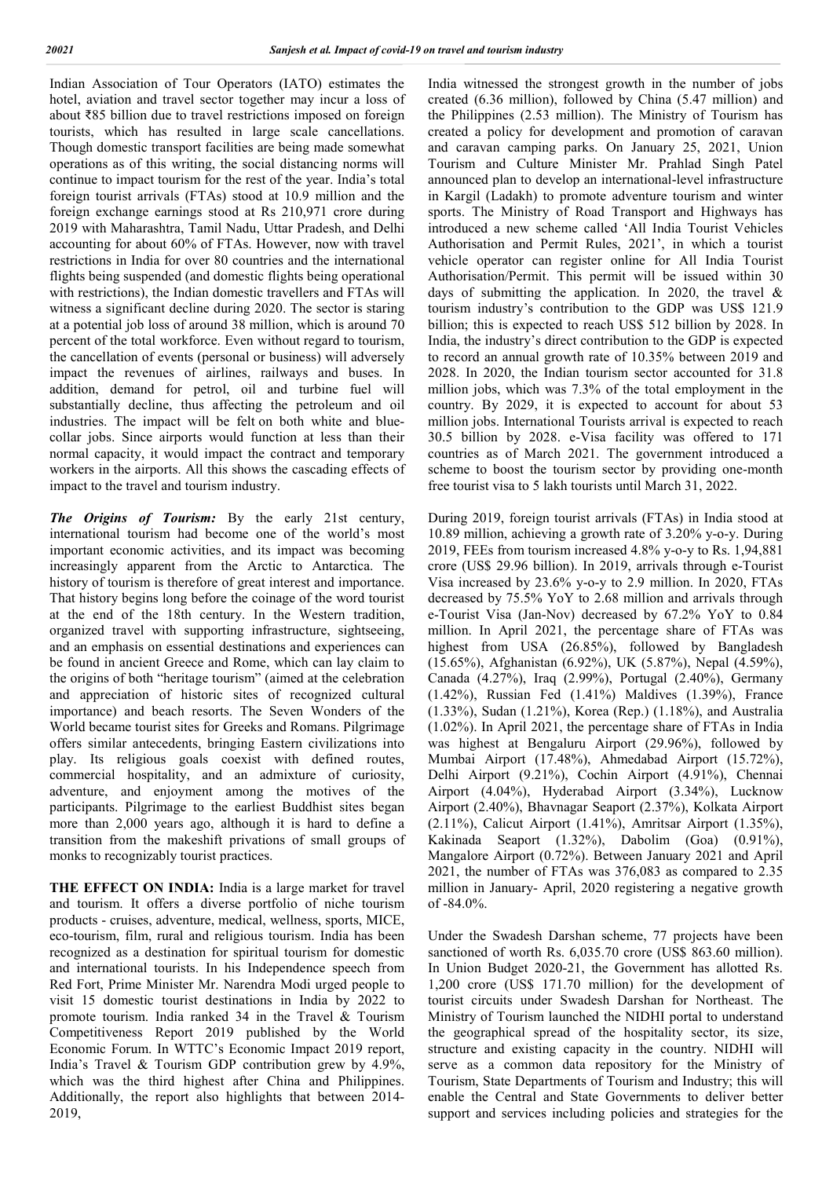Indian Association of Tour Operators (IATO) estimates the hotel, aviation and travel sector together may incur a loss of about ₹85 billion due to travel restrictions imposed on foreign tourists, which has resulted in large scale cancellations. Though domestic transport facilities are being made somewhat operations as of this writing, the social distancing norms will continue to impact tourism for the rest of the year. India's total foreign tourist arrivals (FTAs) stood at 10.9 million and the foreign exchange earnings stood at Rs 210,971 crore during 2019 with Maharashtra, Tamil Nadu, Uttar Pradesh, and Delhi accounting for about 60% of FTAs. However, now with travel restrictions in India for over 80 countries and the international flights being suspended (and domestic flights being operational with restrictions), the Indian domestic travellers and FTAs will witness a significant decline during 2020. The sector is staring at a potential job loss of around 38 million, which is around 70 percent of the total workforce. Even without regard to tourism, the cancellation of events (personal or business) will adversely impact the revenues of airlines, railways and buses. In addition, demand for petrol, oil and turbine fuel will substantially decline, thus affecting the petroleum and oil industries. The impact will be felt on both white and bluecollar jobs. Since airports would function at less than their normal capacity, it would impact the contract and temporary workers in the airports. All this shows the cascading effects of impact to the travel and tourism industry.

*The Origins of Tourism:* By the early 21st century, international tourism had become one of the world's most important economic activities, and its impact was becoming increasingly apparent from the Arctic to Antarctica. The history of tourism is therefore of great interest and importance. That history begins long before the coinage of the word tourist at the end of the 18th century. In the Western tradition, organized travel with supporting infrastructure, sightseeing, and an emphasis on essential destinations and experiences can be found in ancient Greece and Rome, which can lay claim to the origins of both "heritage tourism" (aimed at the celebration and appreciation of historic sites of recognized cultural importance) and beach resorts. The Seven Wonders of the World became tourist sites for Greeks and Romans. Pilgrimage offers similar antecedents, bringing Eastern civilizations into play. Its religious goals coexist with defined routes, commercial hospitality, and an admixture of curiosity, adventure, and enjoyment among the motives of the participants. Pilgrimage to the earliest Buddhist sites began more than 2,000 years ago, although it is hard to define a transition from the makeshift privations of small groups of monks to recognizably tourist practices.

**THE EFFECT ON INDIA:** India is a large market for travel and tourism. It offers a diverse portfolio of niche tourism products - cruises, adventure, medical, wellness, sports, MICE, eco-tourism, film, rural and religious tourism. India has been recognized as a destination for spiritual tourism for domestic and international tourists. In his Independence speech from Red Fort, Prime Minister Mr. Narendra Modi urged people to visit 15 domestic tourist destinations in India by 2022 to promote tourism. India ranked 34 in the Travel & Tourism Competitiveness Report 2019 published by the World Economic Forum. In WTTC's Economic Impact 2019 report, India's Travel & Tourism GDP contribution grew by 4.9%, which was the third highest after China and Philippines. Additionally, the report also highlights that between 2014- 2019,

India witnessed the strongest growth in the number of jobs created (6.36 million), followed by China (5.47 million) and the Philippines (2.53 million). The Ministry of Tourism has created a policy for development and promotion of caravan and caravan camping parks. On January 25, 2021, Union Tourism and Culture Minister Mr. Prahlad Singh Patel announced plan to develop an international-level infrastructure in Kargil (Ladakh) to promote adventure tourism and winter sports. The Ministry of Road Transport and Highways has introduced a new scheme called 'All India Tourist Vehicles Authorisation and Permit Rules, 2021', in which a tourist vehicle operator can register online for All India Tourist Authorisation/Permit. This permit will be issued within 30 days of submitting the application. In 2020, the travel & tourism industry's contribution to the GDP was US\$ 121.9 billion; this is expected to reach US\$ 512 billion by 2028. In India, the industry's direct contribution to the GDP is expected to record an annual growth rate of 10.35% between 2019 and 2028. In 2020, the Indian tourism sector accounted for 31.8 million jobs, which was 7.3% of the total employment in the country. By 2029, it is expected to account for about 53 million jobs. International Tourists arrival is expected to reach 30.5 billion by 2028. e-Visa facility was offered to 171 countries as of March 2021. The government introduced a scheme to boost the tourism sector by providing one-month free tourist visa to 5 lakh tourists until March 31, 2022.

During 2019, foreign tourist arrivals (FTAs) in India stood at 10.89 million, achieving a growth rate of 3.20% y-o-y. During 2019, FEEs from tourism increased 4.8% y-o-y to Rs. 1,94,881 crore (US\$ 29.96 billion). In 2019, arrivals through e-Tourist Visa increased by 23.6% y-o-y to 2.9 million. In 2020, FTAs decreased by 75.5% YoY to 2.68 million and arrivals through e-Tourist Visa (Jan-Nov) decreased by 67.2% YoY to 0.84 million. In April 2021, the percentage share of FTAs was highest from USA (26.85%), followed by Bangladesh (15.65%), Afghanistan (6.92%), UK (5.87%), Nepal (4.59%), Canada (4.27%), Iraq (2.99%), Portugal (2.40%), Germany (1.42%), Russian Fed (1.41%) Maldives (1.39%), France (1.33%), Sudan (1.21%), Korea (Rep.) (1.18%), and Australia (1.02%). In April 2021, the percentage share of FTAs in India was highest at Bengaluru Airport (29.96%), followed by Mumbai Airport (17.48%), Ahmedabad Airport (15.72%), Delhi Airport (9.21%), Cochin Airport (4.91%), Chennai Airport (4.04%), Hyderabad Airport (3.34%), Lucknow Airport (2.40%), Bhavnagar Seaport (2.37%), Kolkata Airport (2.11%), Calicut Airport (1.41%), Amritsar Airport (1.35%), Kakinada Seaport (1.32%), Dabolim (Goa) (0.91%), Mangalore Airport (0.72%). Between January 2021 and April 2021, the number of FTAs was 376,083 as compared to 2.35 million in January- April, 2020 registering a negative growth of -84.0%.

Under the Swadesh Darshan scheme, 77 projects have been sanctioned of worth Rs. 6,035.70 crore (US\$ 863.60 million). In Union Budget 2020-21, the Government has allotted Rs. 1,200 crore (US\$ 171.70 million) for the development of tourist circuits under Swadesh Darshan for Northeast. The Ministry of Tourism launched the NIDHI portal to understand the geographical spread of the hospitality sector, its size, structure and existing capacity in the country. NIDHI will serve as a common data repository for the Ministry of Tourism, State Departments of Tourism and Industry; this will enable the Central and State Governments to deliver better support and services including policies and strategies for the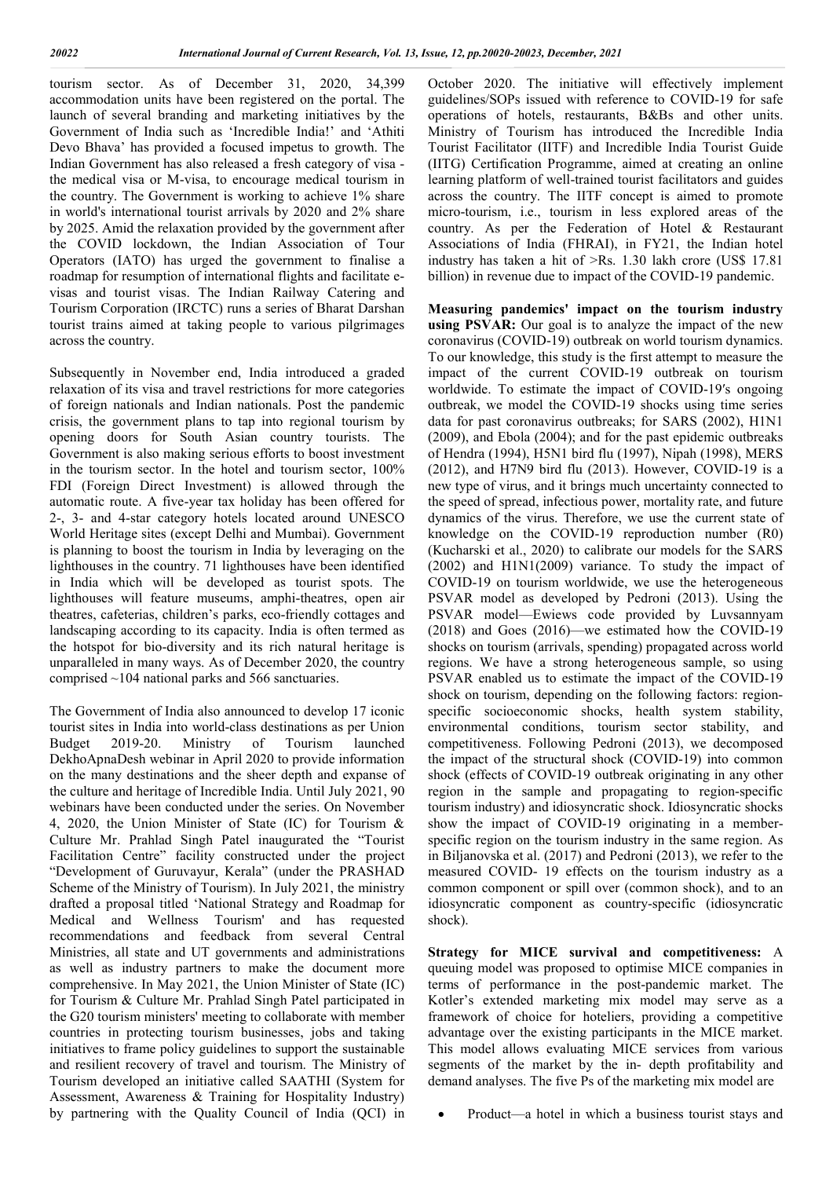tourism sector. As of December 31, 2020, 34,399 accommodation units have been registered on the portal. The launch of several branding and marketing initiatives by the Government of India such as 'Incredible India!' and 'Athiti Devo Bhava' has provided a focused impetus to growth. The Indian Government has also released a fresh category of visa the medical visa or M-visa, to encourage medical tourism in the country. The Government is working to achieve 1% share in world's international tourist arrivals by 2020 and 2% share by 2025. Amid the relaxation provided by the government after the COVID lockdown, the Indian Association of Tour Operators (IATO) has urged the government to finalise a roadmap for resumption of international flights and facilitate evisas and tourist visas. The Indian Railway Catering and Tourism Corporation (IRCTC) runs a series of Bharat Darshan tourist trains aimed at taking people to various pilgrimages across the country.

Subsequently in November end, India introduced a graded relaxation of its visa and travel restrictions for more categories of foreign nationals and Indian nationals. Post the pandemic crisis, the government plans to tap into regional tourism by opening doors for South Asian country tourists. The Government is also making serious efforts to boost investment in the tourism sector. In the hotel and tourism sector, 100% FDI (Foreign Direct Investment) is allowed through the automatic route. A five-year tax holiday has been offered for 2-, 3- and 4-star category hotels located around UNESCO World Heritage sites (except Delhi and Mumbai). Government is planning to boost the tourism in India by leveraging on the lighthouses in the country. 71 lighthouses have been identified in India which will be developed as tourist spots. The lighthouses will feature museums, amphi-theatres, open air theatres, cafeterias, children's parks, eco-friendly cottages and landscaping according to its capacity. India is often termed as the hotspot for bio-diversity and its rich natural heritage is unparalleled in many ways. As of December 2020, the country comprised ~104 national parks and 566 sanctuaries.

The Government of India also announced to develop 17 iconic tourist sites in India into world-class destinations as per Union Budget 2019-20. Ministry of Tourism launched DekhoApnaDesh webinar in April 2020 to provide information on the many destinations and the sheer depth and expanse of the culture and heritage of Incredible India. Until July 2021, 90 webinars have been conducted under the series. On November 4, 2020, the Union Minister of State (IC) for Tourism & Culture Mr. Prahlad Singh Patel inaugurated the "Tourist Facilitation Centre" facility constructed under the project "Development of Guruvayur, Kerala" (under the PRASHAD Scheme of the Ministry of Tourism). In July 2021, the ministry drafted a proposal titled 'National Strategy and Roadmap for Medical and Wellness Tourism' and has requested recommendations and feedback from several Central Ministries, all state and UT governments and administrations as well as industry partners to make the document more comprehensive. In May 2021, the Union Minister of State (IC) for Tourism & Culture Mr. Prahlad Singh Patel participated in the G20 tourism ministers' meeting to collaborate with member countries in protecting tourism businesses, jobs and taking initiatives to frame policy guidelines to support the sustainable and resilient recovery of travel and tourism. The Ministry of Tourism developed an initiative called SAATHI (System for Assessment, Awareness & Training for Hospitality Industry) by partnering with the Quality Council of India (QCI) in

October 2020. The initiative will effectively implement guidelines/SOPs issued with reference to COVID-19 for safe operations of hotels, restaurants, B&Bs and other units. Ministry of Tourism has introduced the Incredible India Tourist Facilitator (IITF) and Incredible India Tourist Guide (IITG) Certification Programme, aimed at creating an online learning platform of well-trained tourist facilitators and guides across the country. The IITF concept is aimed to promote micro-tourism, i.e., tourism in less explored areas of the country. As per the Federation of Hotel & Restaurant Associations of India (FHRAI), in FY21, the Indian hotel industry has taken a hit of >Rs. 1.30 lakh crore (US\$ 17.81 billion) in revenue due to impact of the COVID-19 pandemic.

**Measuring pandemics' impact on the tourism industry using PSVAR:** Our goal is to analyze the impact of the new coronavirus (COVID-19) outbreak on world tourism dynamics. To our knowledge, this study is the first attempt to measure the impact of the current COVID-19 outbreak on tourism worldwide. To estimate the impact of COVID-19′s ongoing outbreak, we model the COVID-19 shocks using time series data for past coronavirus outbreaks; for SARS (2002), H1N1 (2009), and Ebola (2004); and for the past epidemic outbreaks of Hendra (1994), H5N1 bird flu (1997), Nipah (1998), MERS (2012), and H7N9 bird flu (2013). However, COVID-19 is a new type of virus, and it brings much uncertainty connected to the speed of spread, infectious power, mortality rate, and future dynamics of the virus. Therefore, we use the current state of knowledge on the COVID-19 reproduction number (R0) (Kucharski et al., 2020) to calibrate our models for the SARS (2002) and H1N1(2009) variance. To study the impact of COVID-19 on tourism worldwide, we use the heterogeneous PSVAR model as developed by Pedroni (2013). Using the PSVAR model—Ewiews code provided by Luvsannyam (2018) and Goes (2016)—we estimated how the COVID-19 shocks on tourism (arrivals, spending) propagated across world regions. We have a strong heterogeneous sample, so using PSVAR enabled us to estimate the impact of the COVID-19 shock on tourism, depending on the following factors: regionspecific socioeconomic shocks, health system stability, environmental conditions, tourism sector stability, and competitiveness. Following Pedroni (2013), we decomposed the impact of the structural shock (COVID-19) into common shock (effects of COVID-19 outbreak originating in any other region in the sample and propagating to region-specific tourism industry) and idiosyncratic shock. Idiosyncratic shocks show the impact of COVID-19 originating in a memberspecific region on the tourism industry in the same region. As in Biljanovska et al. (2017) and Pedroni (2013), we refer to the measured COVID- 19 effects on the tourism industry as a common component or spill over (common shock), and to an idiosyncratic component as country-specific (idiosyncratic shock).

**Strategy for MICE survival and competitiveness:** A queuing model was proposed to optimise MICE companies in terms of performance in the post-pandemic market. The Kotler's extended marketing mix model may serve as a framework of choice for hoteliers, providing a competitive advantage over the existing participants in the MICE market. This model allows evaluating MICE services from various segments of the market by the in- depth profitability and demand analyses. The five Ps of the marketing mix model are

Product—a hotel in which a business tourist stays and